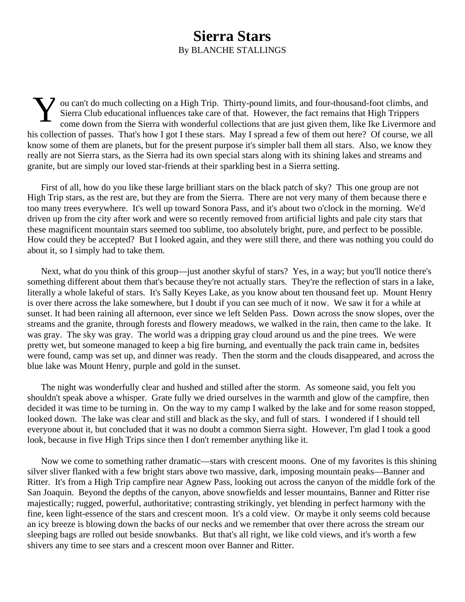## **Sierra Stars** By BLANCHE STALLINGS

V ou can't do much collecting on a High Trip. Thirty-pound limits, and four-thousand-foot climbs, and Sierra Club educational influences take care of that. However, the fact remains that High Trippers come down from the Si Sierra Club educational influences take care of that. However, the fact remains that High Trippers come down from the Sierra with wonderful collections that are just given them, like Ike Livermore and his collection of passes. That's how I got I these stars. May I spread a few of them out here? Of course, we all know some of them are planets, but for the present purpose it's simpler ball them all stars. Also, we know they really are not Sierra stars, as the Sierra had its own special stars along with its shining lakes and streams and granite, but are simply our loved star-friends at their sparkling best in a Sierra setting.

First of all, how do you like these large brilliant stars on the black patch of sky? This one group are not High Trip stars, as the rest are, but they are from the Sierra. There are not very many of them because there e too many trees everywhere. It's well up toward Sonora Pass, and it's about two o'clock in the morning. We'd driven up from the city after work and were so recently removed from artificial lights and pale city stars that these magnificent mountain stars seemed too sublime, too absolutely bright, pure, and perfect to be possible. How could they be accepted? But I looked again, and they were still there, and there was nothing you could do about it, so I simply had to take them.

Next, what do you think of this group—just another skyful of stars? Yes, in a way; but you'll notice there's something different about them that's because they're not actually stars. They're the reflection of stars in a lake, literally a whole lakeful of stars. It's Sally Keyes Lake, as you know about ten thousand feet up. Mount Henry is over there across the lake somewhere, but I doubt if you can see much of it now. We saw it for a while at sunset. It had been raining all afternoon, ever since we left Selden Pass. Down across the snow slopes, over the streams and the granite, through forests and flowery meadows, we walked in the rain, then came to the lake. It was gray. The sky was gray. The world was a dripping gray cloud around us and the pine trees. We were pretty wet, but someone managed to keep a big fire burning, and eventually the pack train came in, bedsites were found, camp was set up, and dinner was ready. Then the storm and the clouds disappeared, and across the blue lake was Mount Henry, purple and gold in the sunset.

The night was wonderfully clear and hushed and stilled after the storm. As someone said, you felt you shouldn't speak above a whisper. Grate fully we dried ourselves in the warmth and glow of the campfire, then decided it was time to be turning in. On the way to my camp I walked by the lake and for some reason stopped, looked down. The lake was clear and still and black as the sky, and full of stars. I wondered if I should tell everyone about it, but concluded that it was no doubt a common Sierra sight. However, I'm glad I took a good look, because in five High Trips since then I don't remember anything like it.

Now we come to something rather dramatic—stars with crescent moons. One of my favorites is this shining silver sliver flanked with a few bright stars above two massive, dark, imposing mountain peaks—Banner and Ritter. It's from a High Trip campfire near Agnew Pass, looking out across the canyon of the middle fork of the San Joaquin. Beyond the depths of the canyon, above snowfields and lesser mountains, Banner and Ritter rise majestically; rugged, powerful, authoritative; contrasting strikingly, yet blending in perfect harmony with the fine, keen light-essence of the stars and crescent moon. It's a cold view. Or maybe it only seems cold because an icy breeze is blowing down the backs of our necks and we remember that over there across the stream our sleeping bags are rolled out beside snowbanks. But that's all right, we like cold views, and it's worth a few shivers any time to see stars and a crescent moon over Banner and Ritter.